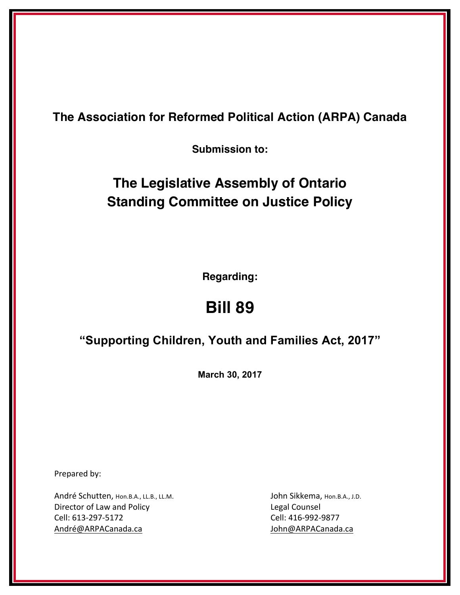**The Association for Reformed Political Action (ARPA) Canada**

**Submission to:**

## **The Legislative Assembly of Ontario Standing Committee on Justice Policy**

**Regarding:**

# **Bill 89**

## **"Supporting Children, Youth and Families Act, 2017"**

**March 30, 2017**

Prepared by:

André Schutten, Hon.B.A., LL.B., LL.M. John Sikkema, Hon.B.A., J.D. Director of Law and Policy **Legal Counsel** Cell: 613-297-5172 Cell: 416-992-9877 André@ARPACanada.ca da and an ann an am an am an aon am am an am an am am an am an am an am an am an am an am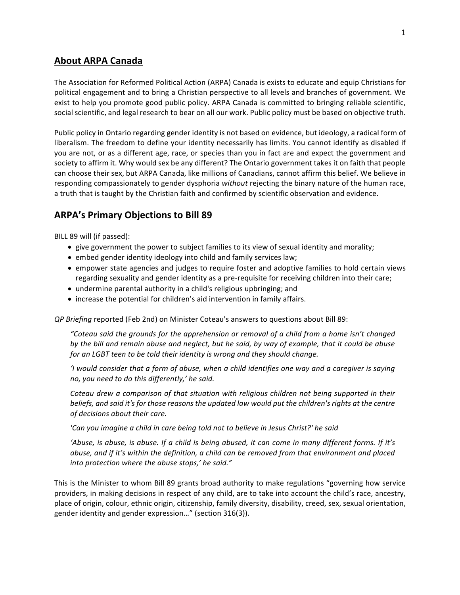## **About ARPA Canada**

The Association for Reformed Political Action (ARPA) Canada is exists to educate and equip Christians for political engagement and to bring a Christian perspective to all levels and branches of government. We exist to help you promote good public policy. ARPA Canada is committed to bringing reliable scientific, social scientific, and legal research to bear on all our work. Public policy must be based on objective truth.

Public policy in Ontario regarding gender identity is not based on evidence, but ideology, a radical form of liberalism. The freedom to define your identity necessarily has limits. You cannot identify as disabled if you are not, or as a different age, race, or species than you in fact are and expect the government and society to affirm it. Why would sex be any different? The Ontario government takes it on faith that people can choose their sex, but ARPA Canada, like millions of Canadians, cannot affirm this belief. We believe in responding compassionately to gender dysphoria without rejecting the binary nature of the human race, a truth that is taught by the Christian faith and confirmed by scientific observation and evidence.

## **ARPA's Primary Objections to Bill 89**

BILL 89 will (if passed):

- give government the power to subject families to its view of sexual identity and morality;
- embed gender identity ideology into child and family services law;
- empower state agencies and judges to require foster and adoptive families to hold certain views regarding sexuality and gender identity as a pre-requisite for receiving children into their care;
- undermine parental authority in a child's religious upbringing; and
- increase the potential for children's aid intervention in family affairs.

*QP* Briefing reported (Feb 2nd) on Minister Coteau's answers to questions about Bill 89:

*"Coteau said the grounds for the apprehension or removal of a child from a home isn't changed*  by the bill and remain abuse and neglect, but he said, by way of example, that it could be abuse *for an LGBT teen to be told their identity is wrong and they should change.* 

*'I* would consider that a form of abuse, when a child identifies one way and a caregiver is saying no, you need to do this differently,' he said.

*Coteau drew a comparison of that situation with religious children not being supported in their beliefs, and said it's for those reasons the updated law would put the children's rights at the centre of decisions about their care.*

'Can you imagine a child in care being told not to believe in Jesus Christ?' he said

'Abuse, is abuse, is abuse. If a child is being abused, it can come in many different forms. If it's *abuse, and if it's within the definition, a child can be removed from that environment and placed* into protection where the abuse stops,' he said."

This is the Minister to whom Bill 89 grants broad authority to make regulations "governing how service providers, in making decisions in respect of any child, are to take into account the child's race, ancestry, place of origin, colour, ethnic origin, citizenship, family diversity, disability, creed, sex, sexual orientation, gender identity and gender expression..." (section 316(3)).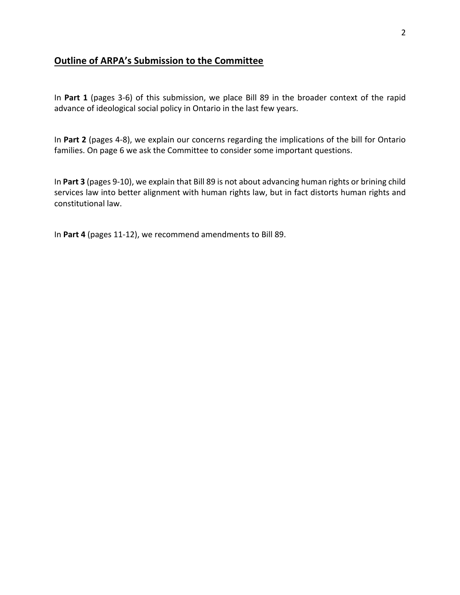## **Outline of ARPA's Submission to the Committee**

In Part 1 (pages 3-6) of this submission, we place Bill 89 in the broader context of the rapid advance of ideological social policy in Ontario in the last few years.

In Part 2 (pages 4-8), we explain our concerns regarding the implications of the bill for Ontario families. On page 6 we ask the Committee to consider some important questions.

In Part 3 (pages 9-10), we explain that Bill 89 is not about advancing human rights or brining child services law into better alignment with human rights law, but in fact distorts human rights and constitutional law.

In Part 4 (pages 11-12), we recommend amendments to Bill 89.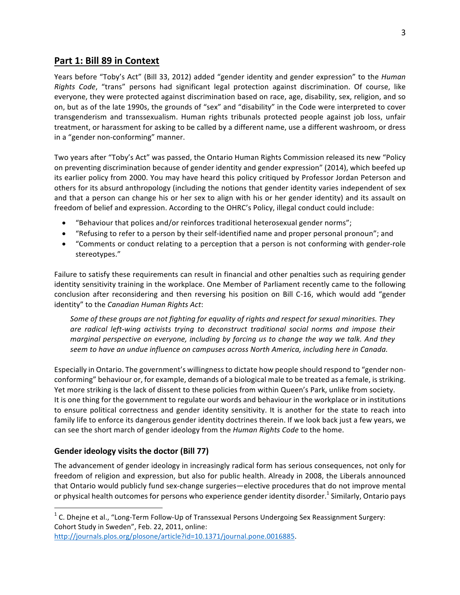## Part 1: Bill 89 in Context

Years before "Toby's Act" (Bill 33, 2012) added "gender identity and gender expression" to the *Human Rights Code,* "trans" persons had significant legal protection against discrimination. Of course, like everyone, they were protected against discrimination based on race, age, disability, sex, religion, and so on, but as of the late 1990s, the grounds of "sex" and "disability" in the Code were interpreted to cover transgenderism and transsexualism. Human rights tribunals protected people against job loss, unfair treatment, or harassment for asking to be called by a different name, use a different washroom, or dress in a "gender non-conforming" manner.

Two years after "Toby's Act" was passed, the Ontario Human Rights Commission released its new "Policy on preventing discrimination because of gender identity and gender expression" (2014), which beefed up its earlier policy from 2000. You may have heard this policy critiqued by Professor Jordan Peterson and others for its absurd anthropology (including the notions that gender identity varies independent of sex and that a person can change his or her sex to align with his or her gender identity) and its assault on freedom of belief and expression. According to the OHRC's Policy, illegal conduct could include:

- "Behaviour that polices and/or reinforces traditional heterosexual gender norms";
- "Refusing to refer to a person by their self-identified name and proper personal pronoun"; and
- "Comments or conduct relating to a perception that a person is not conforming with gender-role stereotypes."

Failure to satisfy these requirements can result in financial and other penalties such as requiring gender identity sensitivity training in the workplace. One Member of Parliament recently came to the following conclusion after reconsidering and then reversing his position on Bill C-16, which would add "gender identity" to the *Canadian Human Rights Act*:

Some of these groups are not fighting for equality of rights and respect for sexual minorities. They are radical left-wing activists trying to deconstruct traditional social norms and impose their *marginal perspective on everyone, including by forcing us to change the way we talk. And they* seem to have an undue influence on campuses across North America, including here in Canada.

Especially in Ontario. The government's willingness to dictate how people should respond to "gender nonconforming" behaviour or, for example, demands of a biological male to be treated as a female, is striking. Yet more striking is the lack of dissent to these policies from within Queen's Park, unlike from society. It is one thing for the government to regulate our words and behaviour in the workplace or in institutions to ensure political correctness and gender identity sensitivity. It is another for the state to reach into family life to enforce its dangerous gender identity doctrines therein. If we look back just a few years, we can see the short march of gender ideology from the *Human Rights Code* to the home.

#### **Gender ideology visits the doctor (Bill 77)**

The advancement of gender ideology in increasingly radical form has serious consequences, not only for freedom of religion and expression, but also for public health. Already in 2008, the Liberals announced that Ontario would publicly fund sex-change surgeries—elective procedures that do not improve mental or physical health outcomes for persons who experience gender identity disorder.<sup>1</sup> Similarly, Ontario pays

http://journals.plos.org/plosone/article?id=10.1371/journal.pone.0016885. 

 $1$  C. Dhejne et al., "Long-Term Follow-Up of Transsexual Persons Undergoing Sex Reassignment Surgery: Cohort Study in Sweden", Feb. 22, 2011, online: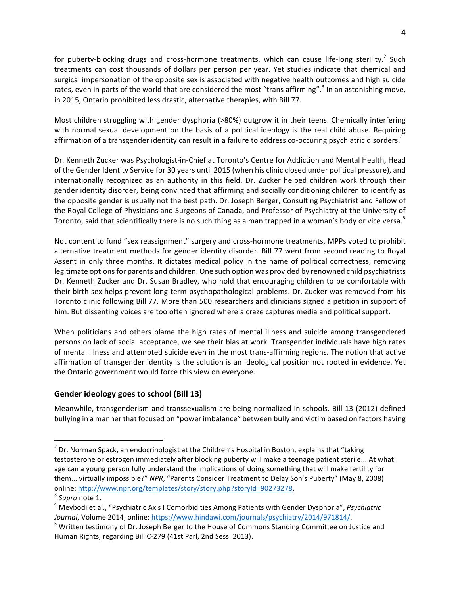for puberty-blocking drugs and cross-hormone treatments, which can cause life-long sterility.<sup>2</sup> Such treatments can cost thousands of dollars per person per year. Yet studies indicate that chemical and surgical impersonation of the opposite sex is associated with negative health outcomes and high suicide rates, even in parts of the world that are considered the most "trans affirming".<sup>3</sup> In an astonishing move, in 2015, Ontario prohibited less drastic, alternative therapies, with Bill 77.

Most children struggling with gender dysphoria (>80%) outgrow it in their teens. Chemically interfering with normal sexual development on the basis of a political ideology is the real child abuse. Requiring affirmation of a transgender identity can result in a failure to address co-occuring psychiatric disorders.<sup>4</sup>

Dr. Kenneth Zucker was Psychologist-in-Chief at Toronto's Centre for Addiction and Mental Health, Head of the Gender Identity Service for 30 years until 2015 (when his clinic closed under political pressure), and internationally recognized as an authority in this field. Dr. Zucker helped children work through their gender identity disorder, being convinced that affirming and socially conditioning children to identify as the opposite gender is usually not the best path. Dr. Joseph Berger, Consulting Psychiatrist and Fellow of the Royal College of Physicians and Surgeons of Canada, and Professor of Psychiatry at the University of Toronto, said that scientifically there is no such thing as a man trapped in a woman's body or vice versa.<sup>5</sup>

Not content to fund "sex reassignment" surgery and cross-hormone treatments, MPPs voted to prohibit alternative treatment methods for gender identity disorder. Bill 77 went from second reading to Royal Assent in only three months. It dictates medical policy in the name of political correctness, removing legitimate options for parents and children. One such option was provided by renowned child psychiatrists Dr. Kenneth Zucker and Dr. Susan Bradley, who hold that encouraging children to be comfortable with their birth sex helps prevent long-term psychopathological problems. Dr. Zucker was removed from his Toronto clinic following Bill 77. More than 500 researchers and clinicians signed a petition in support of him. But dissenting voices are too often ignored where a craze captures media and political support.

When politicians and others blame the high rates of mental illness and suicide among transgendered persons on lack of social acceptance, we see their bias at work. Transgender individuals have high rates of mental illness and attempted suicide even in the most trans-affirming regions. The notion that active affirmation of transgender identity is the solution is an ideological position not rooted in evidence. Yet the Ontario government would force this view on everyone.

#### **Gender ideology goes to school (Bill 13)**

Meanwhile, transgenderism and transsexualism are being normalized in schools. Bill 13 (2012) defined bullying in a manner that focused on "power imbalance" between bully and victim based on factors having

 $2$  Dr. Norman Spack, an endocrinologist at the Children's Hospital in Boston, explains that "taking testosterone or estrogen immediately after blocking puberty will make a teenage patient sterile... At what age can a young person fully understand the implications of doing something that will make fertility for them... virtually impossible?" NPR, "Parents Consider Treatment to Delay Son's Puberty" (May 8, 2008) online: <u>http://www.npr.org/templates/story/story.php?storyId=90273278</u>.<br><sup>3</sup> *Supra* note 1.<br><sup>4</sup> Meybodi et al., "Psychiatric Axis I Comorbidities Among Patients with Gender Dysphoria", *Psychiatric* 

*Journal*, Volume 2014, online: https://www.hindawi.com/journals/psychiatry/2014/971814/.<br><sup>5</sup> Written testimony of Dr. Joseph Berger to the House of Commons Standing Committee on Justice and

Human Rights, regarding Bill C-279 (41st Parl, 2nd Sess: 2013).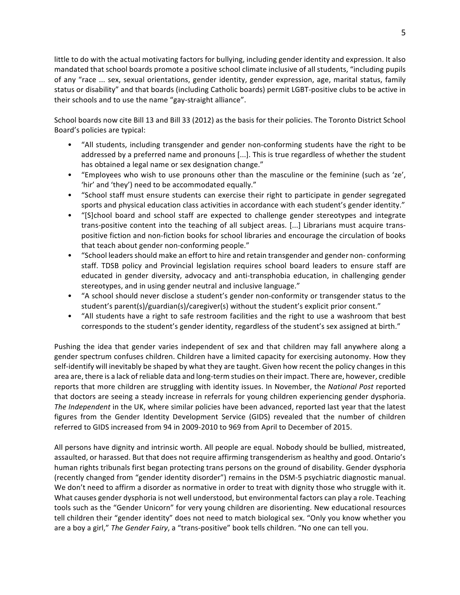little to do with the actual motivating factors for bullying, including gender identity and expression. It also mandated that school boards promote a positive school climate inclusive of all students, "including pupils of any "race ... sex, sexual orientations, gender identity, gender expression, age, marital status, family status or disability" and that boards (including Catholic boards) permit LGBT-positive clubs to be active in their schools and to use the name "gay-straight alliance".

School boards now cite Bill 13 and Bill 33 (2012) as the basis for their policies. The Toronto District School Board's policies are typical:

- "All students, including transgender and gender non-conforming students have the right to be addressed by a preferred name and pronouns  $[...]$ . This is true regardless of whether the student has obtained a legal name or sex designation change."
- "Employees who wish to use pronouns other than the masculine or the feminine (such as 'ze', 'hir' and 'they') need to be accommodated equally."
- "School staff must ensure students can exercise their right to participate in gender segregated sports and physical education class activities in accordance with each student's gender identity."
- "[S]chool board and school staff are expected to challenge gender stereotypes and integrate trans-positive content into the teaching of all subject areas. [...] Librarians must acquire transpositive fiction and non-fiction books for school libraries and encourage the circulation of books that teach about gender non-conforming people."
- "School leaders should make an effort to hire and retain transgender and gender non- conforming staff. TDSB policy and Provincial legislation requires school board leaders to ensure staff are educated in gender diversity, advocacy and anti-transphobia education, in challenging gender stereotypes, and in using gender neutral and inclusive language."
- "A school should never disclose a student's gender non-conformity or transgender status to the student's parent(s)/guardian(s)/caregiver(s) without the student's explicit prior consent."
- "All students have a right to safe restroom facilities and the right to use a washroom that best corresponds to the student's gender identity, regardless of the student's sex assigned at birth."

Pushing the idea that gender varies independent of sex and that children may fall anywhere along a gender spectrum confuses children. Children have a limited capacity for exercising autonomy. How they self-identify will inevitably be shaped by what they are taught. Given how recent the policy changes in this area are, there is a lack of reliable data and long-term studies on their impact. There are, however, credible reports that more children are struggling with identity issues. In November, the National Post reported that doctors are seeing a steady increase in referrals for young children experiencing gender dysphoria. *The Independent* in the UK, where similar policies have been advanced, reported last year that the latest figures from the Gender Identity Development Service (GIDS) revealed that the number of children referred to GIDS increased from 94 in 2009-2010 to 969 from April to December of 2015.

All persons have dignity and intrinsic worth. All people are equal. Nobody should be bullied, mistreated, assaulted, or harassed. But that does not require affirming transgenderism as healthy and good. Ontario's human rights tribunals first began protecting trans persons on the ground of disability. Gender dysphoria (recently changed from "gender identity disorder") remains in the DSM-5 psychiatric diagnostic manual. We don't need to affirm a disorder as normative in order to treat with dignity those who struggle with it. What causes gender dysphoria is not well understood, but environmental factors can play a role. Teaching tools such as the "Gender Unicorn" for very young children are disorienting. New educational resources tell children their "gender identity" does not need to match biological sex. "Only you know whether you are a boy a girl," The Gender Fairy, a "trans-positive" book tells children. "No one can tell you.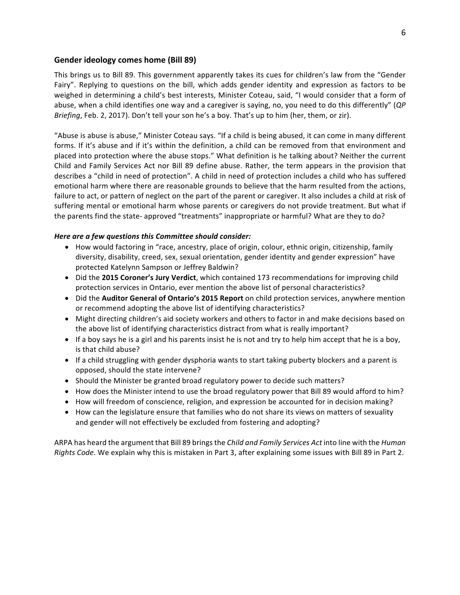#### **Gender ideology comes home (Bill 89)**

This brings us to Bill 89. This government apparently takes its cues for children's law from the "Gender Fairy". Replying to questions on the bill, which adds gender identity and expression as factors to be weighed in determining a child's best interests, Minister Coteau, said, "I would consider that a form of abuse, when a child identifies one way and a caregiver is saying, no, you need to do this differently" (QP *Briefing*, Feb. 2, 2017). Don't tell your son he's a boy. That's up to him (her, them, or zir).

"Abuse is abuse is abuse," Minister Coteau says. "If a child is being abused, it can come in many different forms. If it's abuse and if it's within the definition, a child can be removed from that environment and placed into protection where the abuse stops." What definition is he talking about? Neither the current Child and Family Services Act nor Bill 89 define abuse. Rather, the term appears in the provision that describes a "child in need of protection". A child in need of protection includes a child who has suffered emotional harm where there are reasonable grounds to believe that the harm resulted from the actions, failure to act, or pattern of neglect on the part of the parent or caregiver. It also includes a child at risk of suffering mental or emotional harm whose parents or caregivers do not provide treatment. But what if the parents find the state- approved "treatments" inappropriate or harmful? What are they to do?

#### *Here are a few questions this Committee should consider:*

- How would factoring in "race, ancestry, place of origin, colour, ethnic origin, citizenship, family diversity, disability, creed, sex, sexual orientation, gender identity and gender expression" have protected Katelynn Sampson or Jeffrey Baldwin?
- Did the 2015 Coroner's Jury Verdict, which contained 173 recommendations for improving child protection services in Ontario, ever mention the above list of personal characteristics?
- Did the **Auditor General of Ontario's 2015 Report** on child protection services, anywhere mention or recommend adopting the above list of identifying characteristics?
- Might directing children's aid society workers and others to factor in and make decisions based on the above list of identifying characteristics distract from what is really important?
- If a boy says he is a girl and his parents insist he is not and try to help him accept that he is a boy, is that child abuse?
- If a child struggling with gender dysphoria wants to start taking puberty blockers and a parent is opposed, should the state intervene?
- Should the Minister be granted broad regulatory power to decide such matters?
- How does the Minister intend to use the broad regulatory power that Bill 89 would afford to him?
- How will freedom of conscience, religion, and expression be accounted for in decision making?
- How can the legislature ensure that families who do not share its views on matters of sexuality and gender will not effectively be excluded from fostering and adopting?

ARPA has heard the argument that Bill 89 brings the *Child and Family Services Act* into line with the *Human Rights Code*. We explain why this is mistaken in Part 3, after explaining some issues with Bill 89 in Part 2.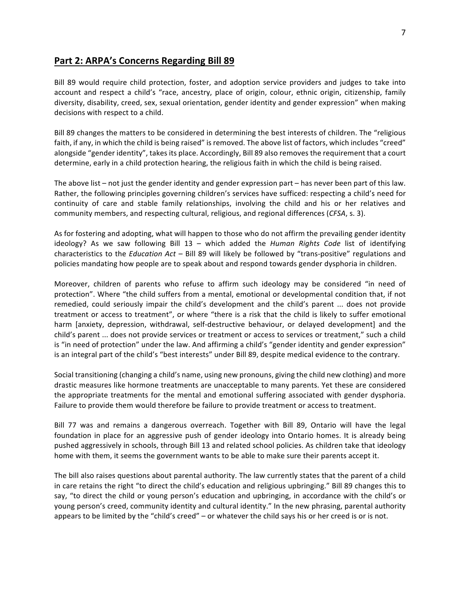### **Part 2: ARPA's Concerns Regarding Bill 89**

Bill 89 would require child protection, foster, and adoption service providers and judges to take into account and respect a child's "race, ancestry, place of origin, colour, ethnic origin, citizenship, family diversity, disability, creed, sex, sexual orientation, gender identity and gender expression" when making decisions with respect to a child.

Bill 89 changes the matters to be considered in determining the best interests of children. The "religious faith, if any, in which the child is being raised" is removed. The above list of factors, which includes "creed" alongside "gender identity", takes its place. Accordingly, Bill 89 also removes the requirement that a court determine, early in a child protection hearing, the religious faith in which the child is being raised.

The above list – not just the gender identity and gender expression part – has never been part of this law. Rather, the following principles governing children's services have sufficed: respecting a child's need for continuity of care and stable family relationships, involving the child and his or her relatives and community members, and respecting cultural, religious, and regional differences (*CFSA*, s. 3).

As for fostering and adopting, what will happen to those who do not affirm the prevailing gender identity ideology? As we saw following Bill 13 – which added the *Human Rights Code* list of identifying characteristics to the *Education Act* – Bill 89 will likely be followed by "trans-positive" regulations and policies mandating how people are to speak about and respond towards gender dysphoria in children.

Moreover, children of parents who refuse to affirm such ideology may be considered "in need of protection". Where "the child suffers from a mental, emotional or developmental condition that, if not remedied, could seriously impair the child's development and the child's parent ... does not provide treatment or access to treatment", or where "there is a risk that the child is likely to suffer emotional harm [anxiety, depression, withdrawal, self-destructive behaviour, or delayed development] and the child's parent ... does not provide services or treatment or access to services or treatment," such a child is "in need of protection" under the law. And affirming a child's "gender identity and gender expression" is an integral part of the child's "best interests" under Bill 89, despite medical evidence to the contrary.

Social transitioning (changing a child's name, using new pronouns, giving the child new clothing) and more drastic measures like hormone treatments are unacceptable to many parents. Yet these are considered the appropriate treatments for the mental and emotional suffering associated with gender dysphoria. Failure to provide them would therefore be failure to provide treatment or access to treatment.

Bill 77 was and remains a dangerous overreach. Together with Bill 89, Ontario will have the legal foundation in place for an aggressive push of gender ideology into Ontario homes. It is already being pushed aggressively in schools, through Bill 13 and related school policies. As children take that ideology home with them, it seems the government wants to be able to make sure their parents accept it.

The bill also raises questions about parental authority. The law currently states that the parent of a child in care retains the right "to direct the child's education and religious upbringing." Bill 89 changes this to say, "to direct the child or young person's education and upbringing, in accordance with the child's or young person's creed, community identity and cultural identity." In the new phrasing, parental authority appears to be limited by the "child's creed" – or whatever the child says his or her creed is or is not.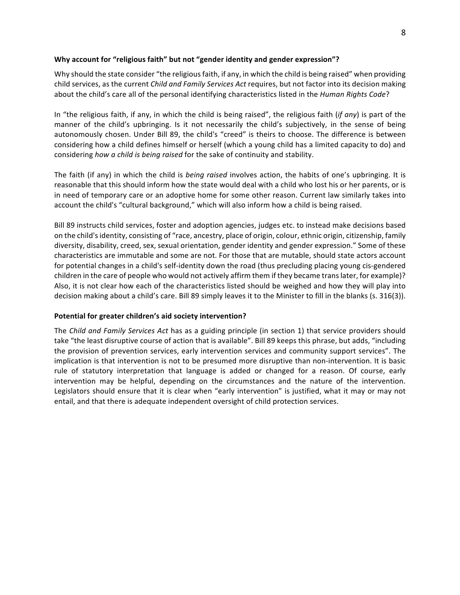#### **Why account for "religious faith" but not "gender identity and gender expression"?**

Why should the state consider "the religious faith, if any, in which the child is being raised" when providing child services, as the current *Child and Family Services Act* requires, but not factor into its decision making about the child's care all of the personal identifying characteristics listed in the *Human Rights Code*?

In "the religious faith, if any, in which the child is being raised", the religious faith (*if any*) is part of the manner of the child's upbringing. Is it not necessarily the child's subjectively, in the sense of being autonomously chosen. Under Bill 89, the child's "creed" is theirs to choose. The difference is between considering how a child defines himself or herself (which a young child has a limited capacity to do) and considering *how a child is being raised* for the sake of continuity and stability.

The faith (if any) in which the child is *being raised* involves action, the habits of one's upbringing. It is reasonable that this should inform how the state would deal with a child who lost his or her parents, or is in need of temporary care or an adoptive home for some other reason. Current law similarly takes into account the child's "cultural background," which will also inform how a child is being raised.

Bill 89 instructs child services, foster and adoption agencies, judges etc. to instead make decisions based on the child's identity, consisting of "race, ancestry, place of origin, colour, ethnic origin, citizenship, family diversity, disability, creed, sex, sexual orientation, gender identity and gender expression." Some of these characteristics are immutable and some are not. For those that are mutable, should state actors account for potential changes in a child's self-identity down the road (thus precluding placing young cis-gendered children in the care of people who would not actively affirm them if they became trans later, for example)? Also, it is not clear how each of the characteristics listed should be weighed and how they will play into decision making about a child's care. Bill 89 simply leaves it to the Minister to fill in the blanks (s. 316(3)).

#### Potential for greater children's aid society intervention?

The *Child and Family Services Act* has as a guiding principle (in section 1) that service providers should take "the least disruptive course of action that is available". Bill 89 keeps this phrase, but adds, "including the provision of prevention services, early intervention services and community support services". The implication is that intervention is not to be presumed more disruptive than non-intervention. It is basic rule of statutory interpretation that language is added or changed for a reason. Of course, early intervention may be helpful, depending on the circumstances and the nature of the intervention. Legislators should ensure that it is clear when "early intervention" is justified, what it may or may not entail, and that there is adequate independent oversight of child protection services.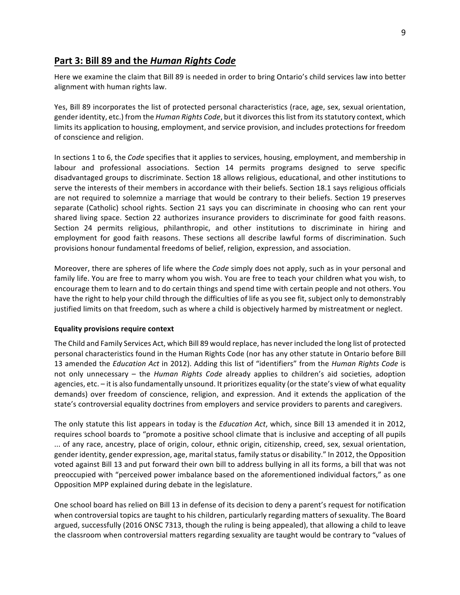### Part 3: Bill 89 and the *Human Rights Code*

Here we examine the claim that Bill 89 is needed in order to bring Ontario's child services law into better alignment with human rights law.

Yes, Bill 89 incorporates the list of protected personal characteristics (race, age, sex, sexual orientation, gender identity, etc.) from the *Human Rights Code*, but it divorces this list from its statutory context, which limits its application to housing, employment, and service provision, and includes protections for freedom of conscience and religion.

In sections 1 to 6, the *Code* specifies that it applies to services, housing, employment, and membership in labour and professional associations. Section 14 permits programs designed to serve specific disadvantaged groups to discriminate. Section 18 allows religious, educational, and other institutions to serve the interests of their members in accordance with their beliefs. Section 18.1 says religious officials are not required to solemnize a marriage that would be contrary to their beliefs. Section 19 preserves separate (Catholic) school rights. Section 21 says you can discriminate in choosing who can rent your shared living space. Section 22 authorizes insurance providers to discriminate for good faith reasons. Section 24 permits religious, philanthropic, and other institutions to discriminate in hiring and employment for good faith reasons. These sections all describe lawful forms of discrimination. Such provisions honour fundamental freedoms of belief, religion, expression, and association.

Moreover, there are spheres of life where the *Code* simply does not apply, such as in your personal and family life. You are free to marry whom you wish. You are free to teach your children what you wish, to encourage them to learn and to do certain things and spend time with certain people and not others. You have the right to help your child through the difficulties of life as you see fit, subject only to demonstrably justified limits on that freedom, such as where a child is objectively harmed by mistreatment or neglect.

#### **Equality provisions require context**

The Child and Family Services Act, which Bill 89 would replace, has never included the long list of protected personal characteristics found in the Human Rights Code (nor has any other statute in Ontario before Bill 13 amended the *Education Act* in 2012). Adding this list of "identifiers" from the *Human Rights Code* is not only unnecessary – the *Human Rights Code* already applies to children's aid societies, adoption agencies, etc. - it is also fundamentally unsound. It prioritizes equality (or the state's view of what equality demands) over freedom of conscience, religion, and expression. And it extends the application of the state's controversial equality doctrines from employers and service providers to parents and caregivers.

The only statute this list appears in today is the *Education Act*, which, since Bill 13 amended it in 2012, requires school boards to "promote a positive school climate that is inclusive and accepting of all pupils ... of any race, ancestry, place of origin, colour, ethnic origin, citizenship, creed, sex, sexual orientation, gender identity, gender expression, age, marital status, family status or disability." In 2012, the Opposition voted against Bill 13 and put forward their own bill to address bullying in all its forms, a bill that was not preoccupied with "perceived power imbalance based on the aforementioned individual factors," as one Opposition MPP explained during debate in the legislature.

One school board has relied on Bill 13 in defense of its decision to deny a parent's request for notification when controversial topics are taught to his children, particularly regarding matters of sexuality. The Board argued, successfully (2016 ONSC 7313, though the ruling is being appealed), that allowing a child to leave the classroom when controversial matters regarding sexuality are taught would be contrary to "values of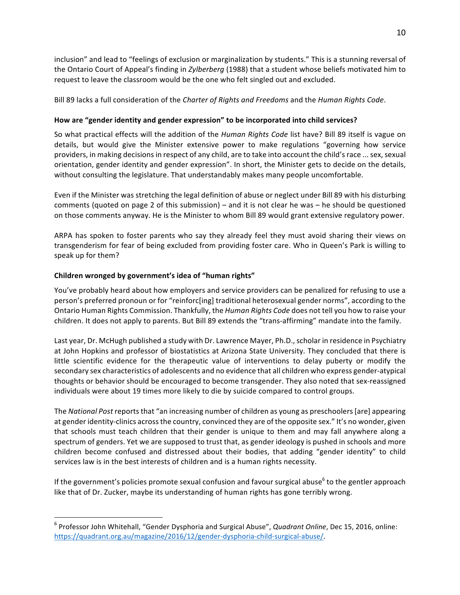10

inclusion" and lead to "feelings of exclusion or marginalization by students." This is a stunning reversal of the Ontario Court of Appeal's finding in *Zylberberg* (1988) that a student whose beliefs motivated him to request to leave the classroom would be the one who felt singled out and excluded.

Bill 89 lacks a full consideration of the *Charter of Rights and Freedoms* and the *Human Rights Code*.

#### How are "gender identity and gender expression" to be incorporated into child services?

So what practical effects will the addition of the *Human Rights Code* list have? Bill 89 itself is vague on details, but would give the Minister extensive power to make regulations "governing how service providers, in making decisions in respect of any child, are to take into account the child's race ... sex, sexual orientation, gender identity and gender expression". In short, the Minister gets to decide on the details, without consulting the legislature. That understandably makes many people uncomfortable.

Even if the Minister was stretching the legal definition of abuse or neglect under Bill 89 with his disturbing comments (quoted on page 2 of this submission) – and it is not clear he was – he should be questioned on those comments anyway. He is the Minister to whom Bill 89 would grant extensive regulatory power.

ARPA has spoken to foster parents who say they already feel they must avoid sharing their views on transgenderism for fear of being excluded from providing foster care. Who in Queen's Park is willing to speak up for them?

#### Children wronged by government's idea of "human rights"

You've probably heard about how employers and service providers can be penalized for refusing to use a person's preferred pronoun or for "reinforc[ing] traditional heterosexual gender norms", according to the Ontario Human Rights Commission. Thankfully, the *Human Rights Code* does not tell you how to raise your children. It does not apply to parents. But Bill 89 extends the "trans-affirming" mandate into the family.

Last year, Dr. McHugh published a study with Dr. Lawrence Mayer, Ph.D., scholar in residence in Psychiatry at John Hopkins and professor of biostatistics at Arizona State University. They concluded that there is little scientific evidence for the therapeutic value of interventions to delay puberty or modify the secondary sex characteristics of adolescents and no evidence that all children who express gender-atypical thoughts or behavior should be encouraged to become transgender. They also noted that sex-reassigned individuals were about 19 times more likely to die by suicide compared to control groups.

The *National Post* reports that "an increasing number of children as young as preschoolers [are] appearing at gender identity-clinics across the country, convinced they are of the opposite sex." It's no wonder, given that schools must teach children that their gender is unique to them and may fall anywhere along a spectrum of genders. Yet we are supposed to trust that, as gender ideology is pushed in schools and more children become confused and distressed about their bodies, that adding "gender identity" to child services law is in the best interests of children and is a human rights necessity.

If the government's policies promote sexual confusion and favour surgical abuse<sup>6</sup> to the gentler approach like that of Dr. Zucker, maybe its understanding of human rights has gone terribly wrong.

<sup>&</sup>lt;sup>6</sup> Professor John Whitehall, "Gender Dysphoria and Surgical Abuse", *Quadrant Online*, Dec 15, 2016, online: https://quadrant.org.au/magazine/2016/12/gender-dysphoria-child-surgical-abuse/.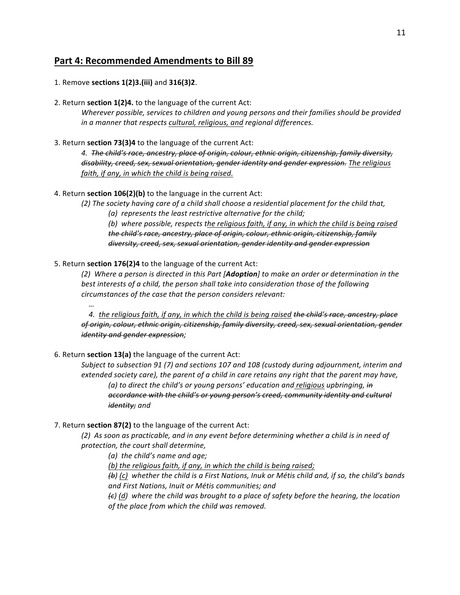## **Part 4: Recommended Amendments to Bill 89**

- 1. Remove **sections 1(2)3.(iii)** and **316(3)2**.
- 2. Return **section 1(2)4.** to the language of the current Act:

*Wherever possible, services to children and young persons and their families should be provided* in a manner that respects cultural, religious, and regional differences.

3. Return **section 73(3)4** to the language of the current Act:

4. The child's race, ancestry, place of origin, colour, ethnic origin, citizenship, family diversity, disability, creed, sex, sexual orientation, gender identity and gender expression. The religious faith, if any, in which the child is being raised.

4. Return section 106(2)(b) to the language in the current Act:

(2) The society having care of a child shall choose a residential placement for the child that, (a) represents the least restrictive alternative for the child;

(b) where possible, respects the religious faith, if any, in which the child is being raised *the child's race, ancestry, place of origin, colour, ethnic origin, citizenship, family* diversity, creed, sex, sexual orientation, gender identity and gender expression

5. Return **section 176(2)4** to the language of the current Act:

(2) Where a person is directed in this Part [**Adoption**] to make an order or determination in the best interests of a child, the person shall take into consideration those of the following *circumstances of the case that the person considers relevant:*

4. the religious faith, if any, in which the child is being raised the child's race, ancestry, place of origin, colour, ethnic origin, citizenship, family diversity, creed, sex, sexual orientation, gender *identity and gender expression;*

6. Return **section 13(a)** the language of the current Act:

 *…*

*Subject to subsection 91 (7) and sections 107 and 108 (custody during adjournment, interim and extended society care), the parent of a child in care retains any right that the parent may have, (a)* to direct the child's or young persons' education and religious upbringing, in *accordance with the child's or young person's creed, community identity and cultural identity; and*

#### 7. Return **section 87(2)** to the language of the current Act:

(2) As soon as practicable, and in any event before determining whether a child is in need of *protection, the court shall determine,*

*(a) the child's name and age;*

(b) the religious faith, if any, in which the child is being raised;

*(b)* (c) whether the child is a First Nations, Inuk or Métis child and, if so, the child's bands *and First Nations, Inuit or Métis communities; and*

 $f(t)$  (d) where the child was brought to a place of safety before the hearing, the location *of the place from which the child was removed.*